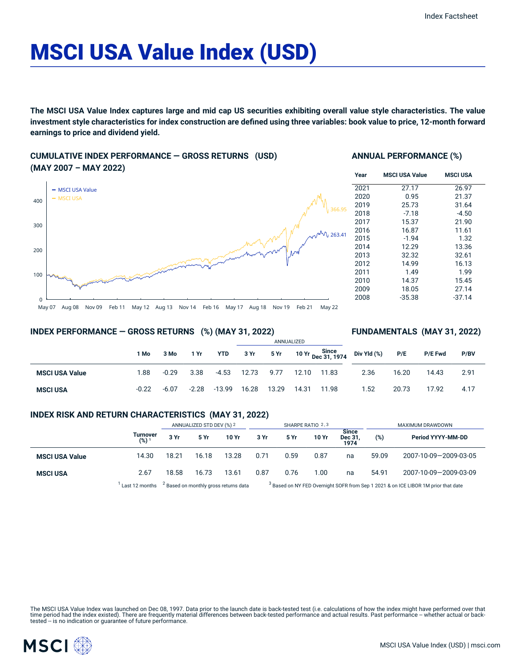# MSCI USA Value Index (USD)

The MSCI USA Value Index captures large and mid cap US securities exhibiting overall value style characteristics. The value investment style characteristics for index construction are defined using three variables: book value to price, 12-month forward **earnings to price and dividend yield.**

### **CUMULATIVE INDEX PERFORMANCE — GROSS RETURNS (USD) (MAY 2007 – MAY 2022)**

# May 07 Aug 08 Nov 09 Feb 11 May 12 Aug 13 Nov 14 Feb 16 May 17 Aug 18 Nov 19 Feb 21 May 22  $\Omega$ 100 200 300 400 - MSCI USA Value MSCI USA  $\sqrt{}$  263.41

#### **ANNUAL PERFORMANCE (%)**

| Year | <b>MSCI USA Value</b> | <b>MSCI USA</b> |
|------|-----------------------|-----------------|
| 2021 | 27.17                 | 26.97           |
| 2020 | 0.95                  | 21.37           |
| 2019 | 25.73                 | 31.64           |
| 2018 | $-7.18$               | $-4.50$         |
| 2017 | 15.37                 | 21.90           |
| 2016 | 16.87                 | 11.61           |
| 2015 | $-1.94$               | 1.32            |
| 2014 | 12.29                 | 13.36           |
| 2013 | 32.32                 | 32.61           |
| 2012 | 14.99                 | 16.13           |
| 2011 | 1.49                  | 1.99            |
| 2010 | 14.37                 | 15.45           |
| 2009 | 18.05                 | 27.14           |
| 2008 | $-35.38$              | $-37.14$        |

**FUNDAMENTALS (MAY 31, 2022)**

#### **INDEX PERFORMANCE — GROSS RETURNS (%) (MAY 31, 2022)**

#### ANNUALIZED **1 Mo 3 Mo 1 Yr YTD 3 Yr 5 Yr 10 Yr Since Dec 31, 1974 MSCI USA Value** 1.88 -0.29 3.38 -4.53 12.73 9.77 12.10 11.83 **MSCI USA** -0.22 -6.07 -2.28 -13.99 16.28 13.29 14.31 11.98 **Div Yld (%) P/E P/E Fwd P/BV** 2.36 16.20 14.43 2.91 1.52 20.73 17.92 4.17

#### **INDEX RISK AND RETURN CHARACTERISTICS (MAY 31, 2022)**

|                       |                     | ANNUALIZED STD DEV (%) 2                         |       | SHARPE RATIO 2,3 |      | MAXIMUM DRAWDOWN |       |                                       |                                                                                               |                       |
|-----------------------|---------------------|--------------------------------------------------|-------|------------------|------|------------------|-------|---------------------------------------|-----------------------------------------------------------------------------------------------|-----------------------|
|                       | Turnover<br>$(%)^T$ | 3 Yr                                             | 5 Yr  | 10 Yr            | 3 Yr | 5 Yr             | 10 Yr | <b>Since</b><br><b>Dec 31</b><br>1974 | $(\%)$                                                                                        | Period YYYY-MM-DD     |
| <b>MSCI USA Value</b> | 14.30               | 18.21                                            | 16.18 | 13.28            | 0.71 | 0.59             | 0.87  | na                                    | 59.09                                                                                         | 2007-10-09-2009-03-05 |
| <b>MSCI USA</b>       | 2.67                | 18.58                                            | 16.73 | 13.61            | 0.87 | 0.76             | 1.00  | na                                    | 54.91                                                                                         | 2007-10-09-2009-03-09 |
|                       | Last 12 months      | <sup>2</sup> Based on monthly gross returns data |       |                  |      |                  |       |                                       | <sup>3</sup> Based on NY FED Overnight SOFR from Sep 1 2021 & on ICE LIBOR 1M prior that date |                       |

The MSCI USA Value Index was launched on Dec 08, 1997. Data prior to the launch date is back-tested test (i.e. calculations of how the index might have performed over that time period had the index existed). There are frequently material differences between back-tested performance and actual results. Past performance – whether actual or back-<br>tested – is no indication or guarantee of future

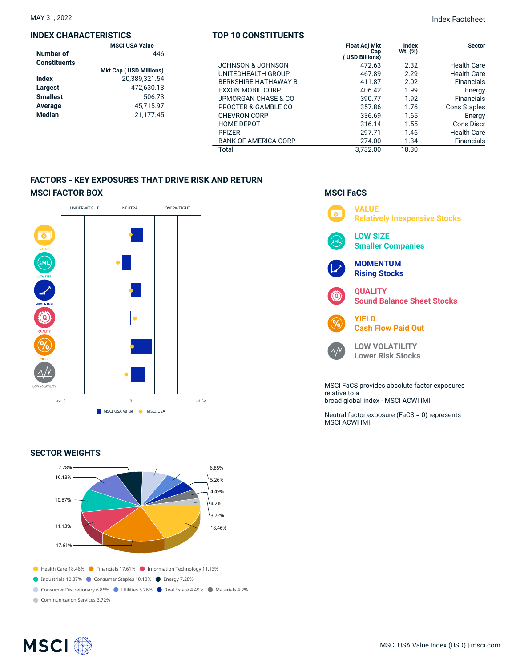#### **INDEX CHARACTERISTICS**

#### **TOP 10 CONSTITUENTS**

MAY 31, 2022 Index Factsheet

| <b>MSCI USA Value</b> |                               |                             | <b>Float Adj Mkt</b>  | Index      | <b>Sector</b>       |
|-----------------------|-------------------------------|-----------------------------|-----------------------|------------|---------------------|
| Number of             | 446                           |                             | Cap<br>(USD Billions) | Wt. $(\%)$ |                     |
| <b>Constituents</b>   |                               | JOHNSON & JOHNSON           | 472.63                | 2.32       | <b>Health Care</b>  |
|                       | <b>Mkt Cap (USD Millions)</b> | UNITEDHEALTH GROUP          | 467.89                | 2.29       | <b>Health Care</b>  |
| <b>Index</b>          | 20,389,321.54                 | <b>BERKSHIRE HATHAWAY B</b> | 411.87                | 2.02       | Financials          |
| Largest               | 472,630.13                    | <b>EXXON MOBIL CORP</b>     | 406.42                | 1.99       | Energy              |
| <b>Smallest</b>       | 506.73                        | JPMORGAN CHASE & CO         | 390.77                | 1.92       | Financials          |
| Average               | 45,715.97                     | PROCTER & GAMBLE CO         | 357.86                | 1.76       | <b>Cons Staples</b> |
| Median                | 21.177.45                     | <b>CHEVRON CORP</b>         | 336.69                | 1.65       | Energy              |
|                       |                               | <b>HOME DEPOT</b>           | 316.14                | 1.55       | <b>Cons Discr</b>   |
|                       |                               | <b>PFIZER</b>               | 297.71                | 1.46       | <b>Health Care</b>  |
|                       |                               | <b>BANK OF AMERICA CORP</b> | 274.00                | 1.34       | Financials          |
|                       |                               | Total                       | 3.732.00              | 18.30      |                     |

## **FACTORS - KEY EXPOSURES THAT DRIVE RISK AND RETURN MSCI FACTOR BOX**



#### **SECTOR WEIGHTS**



# **MSCI FaCS VALUE**  $\overline{\bullet}$ **Relatively Inexpensive Stocks LOW SIZE Smaller Companies MOMENTUM Rising Stocks QUALITY Sound Balance Sheet Stocks YIELD Cash Flow Paid Out LOW VOLATILITY**  $\Delta N$ **Lower Risk Stocks** MSCI FaCS provides absolute factor exposures relative to a broad global index - MSCI ACWI IMI.

Neutral factor exposure (FaCS = 0) represents MSCI ACWI IMI.